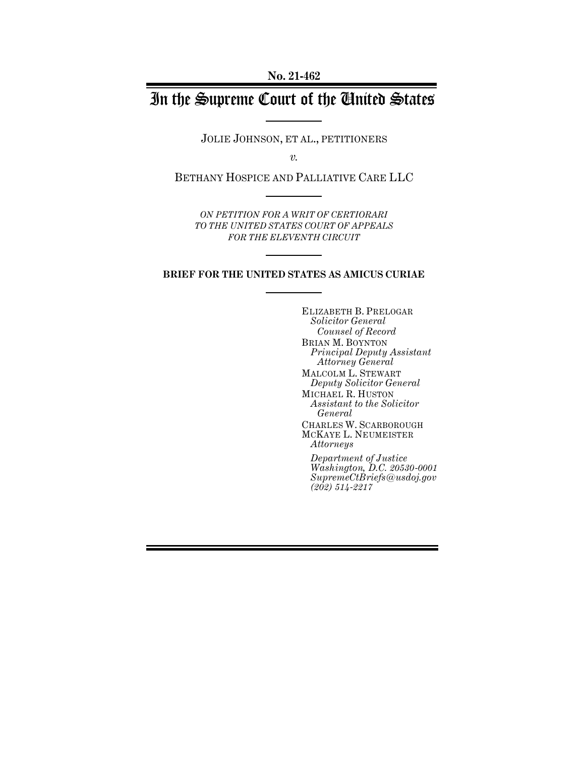**No. 21-462**

# In the Supreme Court of the United States

JOLIE JOHNSON, ET AL., PETITIONERS

*v.*

BETHANY HOSPICE AND PALLIATIVE CARE LLC

*ON PETITION FOR A WRIT OF CERTIORARI TO THE UNITED STATES COURT OF APPEALS FOR THE ELEVENTH CIRCUIT*

#### **BRIEF FOR THE UNITED STATES AS AMICUS CURIAE**

ELIZABETH B. PRELOGAR *Solicitor General Counsel of Record* BRIAN M. BOYNTON *Principal Deputy Assistant Attorney General* MALCOLM L. STEWART *Deputy Solicitor General* MICHAEL R. HUSTON *Assistant to the Solicitor General* CHARLES W. SCARBOROUGH MCKAYE L. NEUMEISTER *Attorneys Department of Justice*

*Washington, D.C. 20530-0001 SupremeCtBriefs@usdoj.gov (202) 514-2217*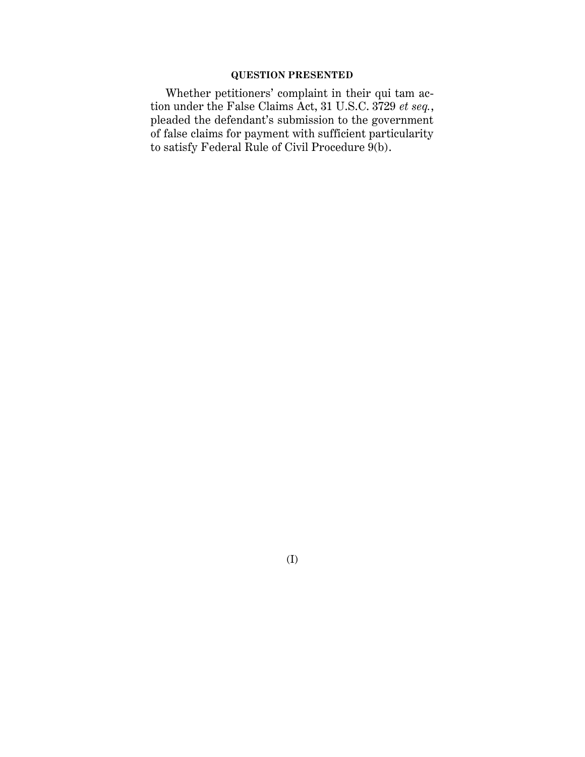## **QUESTION PRESENTED**

Whether petitioners' complaint in their qui tam action under the False Claims Act, 31 U.S.C. 3729 *et seq.*, pleaded the defendant's submission to the government of false claims for payment with sufficient particularity to satisfy Federal Rule of Civil Procedure  $9(b)$ .

(I)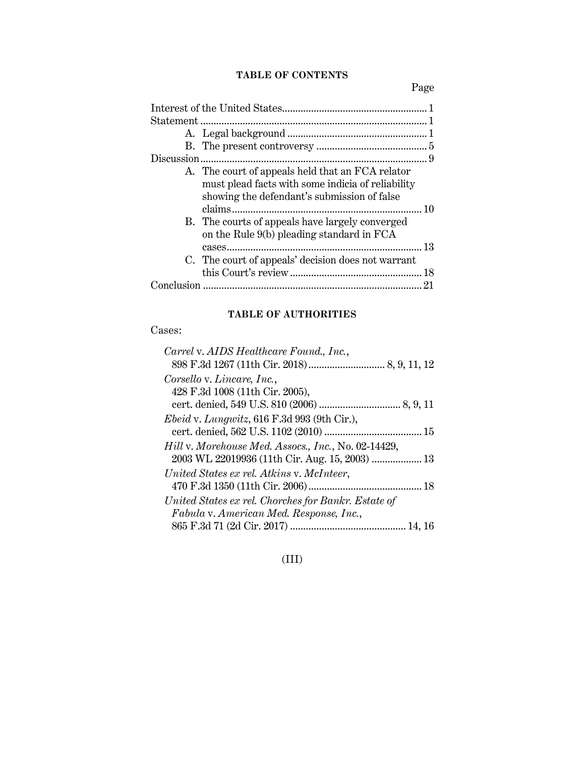## **TABLE OF CONTENTS**

Page

| A. The court of appeals held that an FCA relator<br>must plead facts with some indicia of reliability<br>showing the defendant's submission of false |  |
|------------------------------------------------------------------------------------------------------------------------------------------------------|--|
| B. The courts of appeals have largely converged<br>on the Rule 9(b) pleading standard in FCA                                                         |  |
| C. The court of appeals' decision does not warrant                                                                                                   |  |
|                                                                                                                                                      |  |

## **TABLE OF AUTHORITIES**

## Cases:

## (III)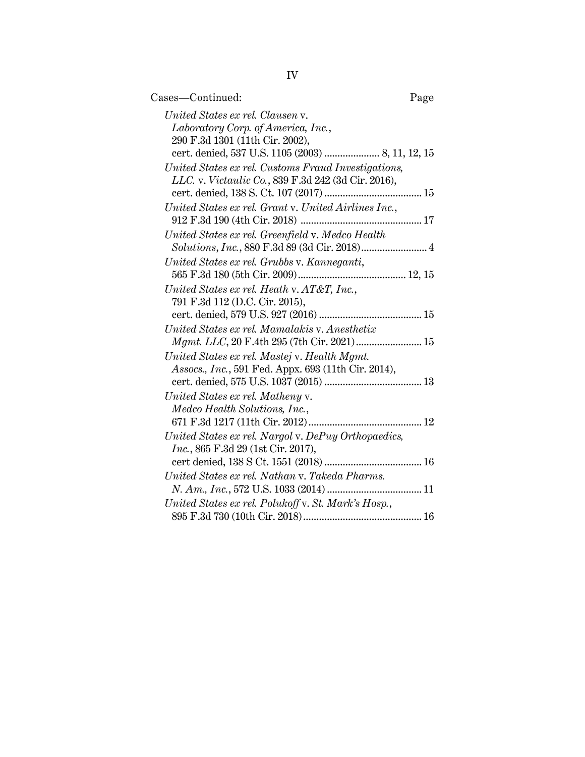| Cases—Continued:                                                                                  | Page |
|---------------------------------------------------------------------------------------------------|------|
| United States ex rel. Clausen v.                                                                  |      |
| Laboratory Corp. of America, Inc.,                                                                |      |
| 290 F.3d 1301 (11th Cir. 2002),                                                                   |      |
|                                                                                                   |      |
| United States ex rel. Customs Fraud Investigations,                                               |      |
| LLC. v. Victaulic Co., 839 F.3d 242 (3d Cir. 2016),                                               |      |
|                                                                                                   |      |
| United States ex rel. Grant v. United Airlines Inc.,                                              |      |
|                                                                                                   |      |
| United States ex rel. Greenfield v. Medco Health<br>Solutions, Inc., 880 F.3d 89 (3d Cir. 2018) 4 |      |
| United States ex rel. Grubbs v. Kanneganti,                                                       |      |
|                                                                                                   |      |
| United States ex rel. Heath v. AT&T, Inc.,                                                        |      |
| 791 F.3d 112 (D.C. Cir. 2015),                                                                    |      |
|                                                                                                   |      |
| United States ex rel. Mamalakis v. Anesthetix                                                     |      |
|                                                                                                   |      |
| United States ex rel. Mastej v. Health Mgmt.                                                      |      |
| Assocs., Inc., 591 Fed. Appx. 693 (11th Cir. 2014),                                               |      |
|                                                                                                   |      |
| United States ex rel. Matheny v.                                                                  |      |
| Medco Health Solutions, Inc.,                                                                     |      |
|                                                                                                   |      |
| United States ex rel. Nargol v. DePuy Orthopaedics,                                               |      |
| <i>Inc.</i> , 865 F.3d 29 (1st Cir. 2017),                                                        |      |
|                                                                                                   |      |
| United States ex rel. Nathan v. Takeda Pharms.                                                    |      |
|                                                                                                   |      |
| United States ex rel. Polukoff v. St. Mark's Hosp.,                                               |      |
|                                                                                                   |      |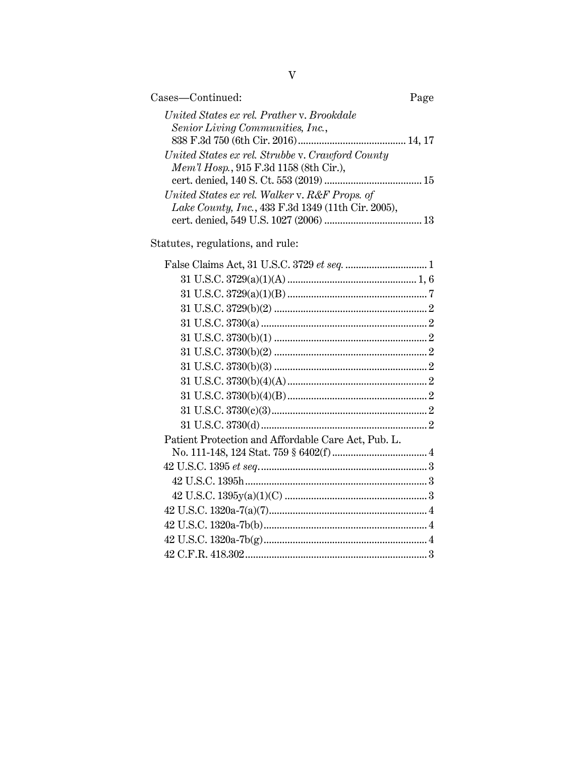| Cases—Continued:                                   |  |
|----------------------------------------------------|--|
| United States ex rel. Prather v. Brookdale         |  |
| Senior Living Communities, Inc.,                   |  |
|                                                    |  |
| United States ex rel. Strubbe v. Crawford County   |  |
| Mem'l Hosp., 915 F.3d 1158 (8th Cir.),             |  |
|                                                    |  |
| United States ex rel. Walker v. R&F Props. of      |  |
| Lake County, Inc., 433 F.3d 1349 (11th Cir. 2005), |  |
|                                                    |  |
|                                                    |  |

Statutes, regulations, and rule:

| Patient Protection and Affordable Care Act, Pub. L. |  |
|-----------------------------------------------------|--|
|                                                     |  |
|                                                     |  |
|                                                     |  |
|                                                     |  |
|                                                     |  |
|                                                     |  |
|                                                     |  |
|                                                     |  |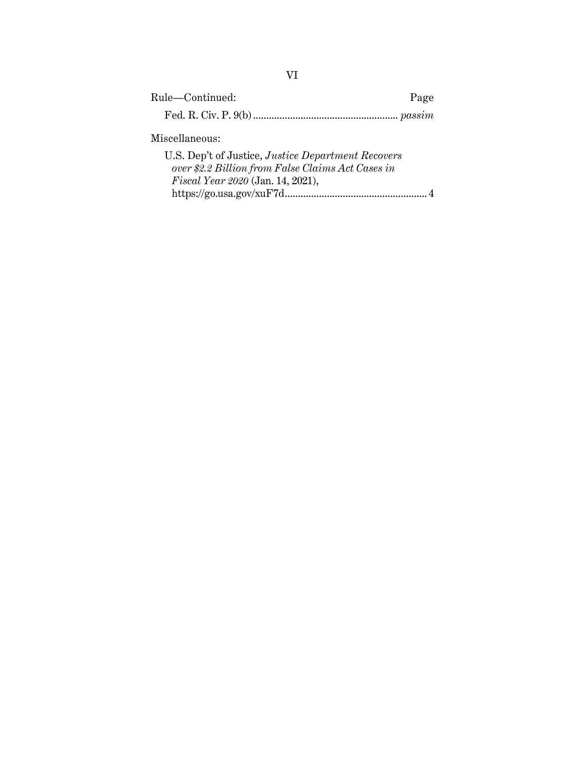| Rule-Continued:                                                                                                | Page |  |  |
|----------------------------------------------------------------------------------------------------------------|------|--|--|
|                                                                                                                |      |  |  |
| Miscellaneous:                                                                                                 |      |  |  |
| U.S. Dep't of Justice, <i>Justice Department Recovers</i><br>over \$2.2 Billion from False Claims Act Cases in |      |  |  |
| Fiscal Year 2020 (Jan. 14, 2021),                                                                              |      |  |  |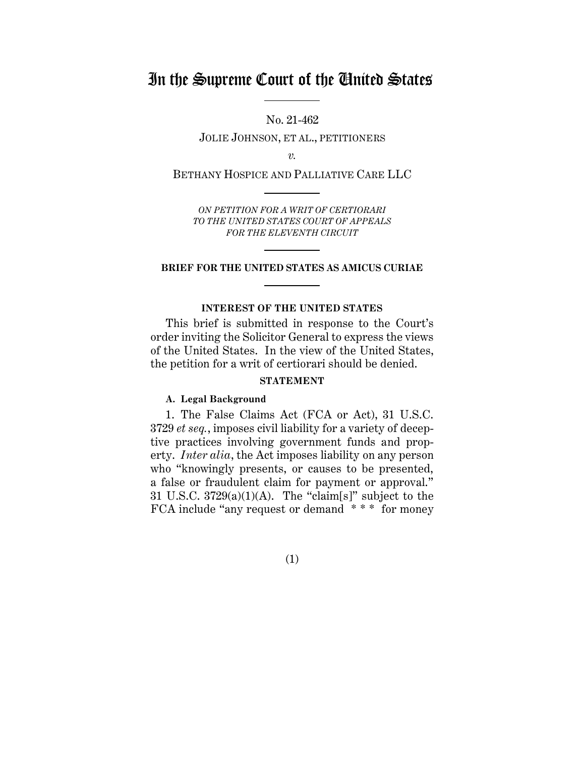## In the Supreme Court of the United States

No. 21-462

JOLIE JOHNSON, ET AL., PETITIONERS

*v.*

BETHANY HOSPICE AND PALLIATIVE CARE LLC

*ON PETITION FOR A WRIT OF CERTIORARI TO THE UNITED STATES COURT OF APPEALS FOR THE ELEVENTH CIRCUIT*

#### **BRIEF FOR THE UNITED STATES AS AMICUS CURIAE**

#### **INTEREST OF THE UNITED STATES**

<span id="page-6-0"></span>This brief is submitted in response to the Court's order inviting the Solicitor General to express the views of the United States. In the view of the United States, the petition for a writ of certiorari should be denied.

### **STATEMENT**

#### <span id="page-6-2"></span><span id="page-6-1"></span>**A. Legal Background**

1. The False Claims Act (FCA or Act), 31 U.S.C. 3729 *et seq.*, imposes civil liability for a variety of deceptive practices involving government funds and property. *Inter alia*, the Act imposes liability on any person who "knowingly presents, or causes to be presented, a false or fraudulent claim for payment or approval." 31 U.S.C.  $3729(a)(1)(A)$ . The "claim[s]" subject to the FCA include "any request or demand \* \* \* for money

(1)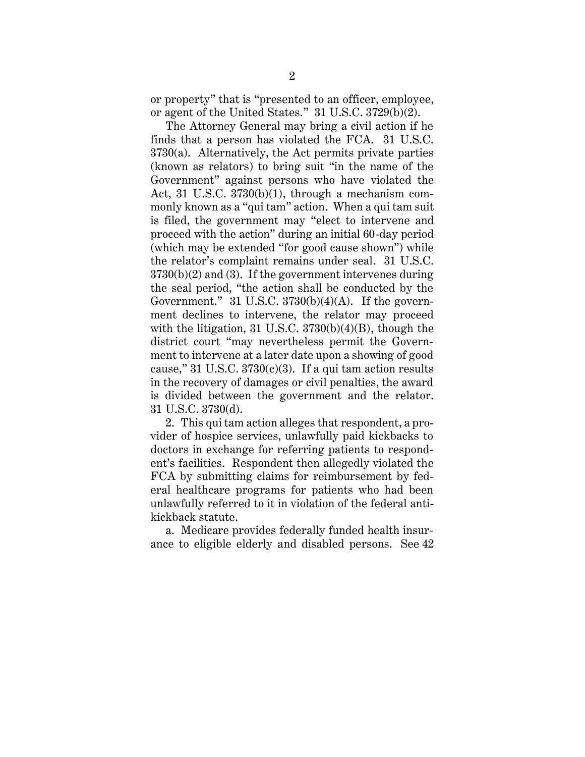or property" that is "presented to an officer, employee, or agent of the United States." 31 U.S.C. 3729(b)(2).

The Attorney General may bring a civil action if he finds that a person has violated the FCA. 31 U.S.C.  $3730(a)$ . Alternatively, the Act permits private parties (known as relators) to bring suit "in the name of the Government" against persons who have violated the Act, 31 U.S.C. 3730(b)(1), through a mechanism commonly known as a "qui tam" action. When a qui tam suit is filed, the government may "elect to intervene and proceed with the action" during an initial 60-day period (which may be extended "for good cause shown") while the relator's complaint remains under seal. 31 U.S.C. 3730(b)(2) and (3). If the government intervenes during the seal period, "the action shall be conducted by the Government." 31 U.S.C.  $3730(b)(4)(A)$ . If the government declines to intervene, the relator may proceed with the litigation, 31 U.S.C.  $3730(b)(4)(B)$ , though the district court "may nevertheless permit the Government to intervene at a later date upon a showing of good cause," 31 U.S.C.  $3730(c)(3)$ . If a qui tam action results in the recovery of damages or civil penalties, the award is divided between the government and the relator. 31 U.S.C. 3730(d).

2. This qui tam action alleges that respondent, a provider of hospice services, unlawfully paid kickbacks to doctors in exchange for referring patients to respondent's facilities. Respondent then allegedly violated the FCA by submitting claims for reimbursement by federal healthcare programs for patients who had been unlawfully referred to it in violation of the federal antikickback statute.

a. Medicare provides federally funded health insurance to eligible elderly and disabled persons. See 42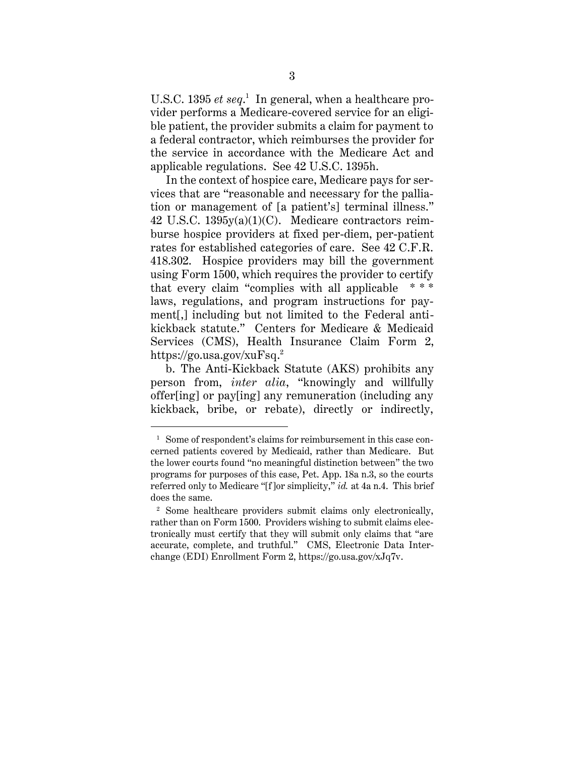U.S.C. 1395 *et seq*. 1 In general, when a healthcare provider performs a Medicare-covered service for an eligible patient, the provider submits a claim for payment to a federal contractor, which reimburses the provider for the service in accordance with the Medicare Act and applicable regulations. See 42 U.S.C. 1395h.

In the context of hospice care, Medicare pays for services that are "reasonable and necessary for the palliation or management of [a patient's] terminal illness." 42 U.S.C. 1395y(a)(1)(C). Medicare contractors reimburse hospice providers at fixed per-diem, per-patient rates for established categories of care. See 42 C.F.R. 418.302. Hospice providers may bill the government using Form 1500, which requires the provider to certify that every claim "complies with all applicable \* \* \* laws, regulations, and program instructions for payment[,] including but not limited to the Federal antikickback statute." Centers for Medicare & Medicaid Services (CMS), Health Insurance Claim Form 2, https://go.usa.gov/xuFsq. 2

b. The Anti-Kickback Statute (AKS) prohibits any person from, *inter alia*, "knowingly and willfully offer[ing] or pay[ing] any remuneration (including any kickback, bribe, or rebate), directly or indirectly,

<sup>&</sup>lt;sup>1</sup> Some of respondent's claims for reimbursement in this case concerned patients covered by Medicaid, rather than Medicare. But the lower courts found "no meaningful distinction between" the two programs for purposes of this case, Pet. App. 18a n.3, so the courts referred only to Medicare "[f]or simplicity," *id.* at 4a n.4. This brief does the same.

<sup>2</sup> Some healthcare providers submit claims only electronically, rather than on Form 1500. Providers wishing to submit claims electronically must certify that they will submit only claims that "are accurate, complete, and truthful." CMS, Electronic Data Interchange (EDI) Enrollment Form 2, https://go.usa.gov/xJq7v.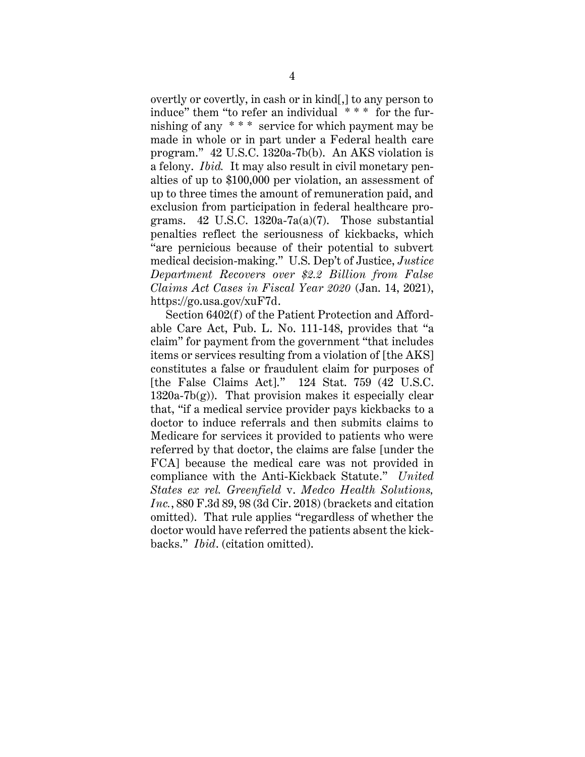overtly or covertly, in cash or in kind[,] to any person to induce" them "to refer an individual \* \* \* for the furnishing of any \* \* \* service for which payment may be made in whole or in part under a Federal health care program." 42 U.S.C. 1320a-7b(b). An AKS violation is a felony. *Ibid.* It may also result in civil monetary penalties of up to \$100,000 per violation, an assessment of up to three times the amount of remuneration paid, and exclusion from participation in federal healthcare programs. 42 U.S.C. 1320a-7a(a)(7). Those substantial penalties reflect the seriousness of kickbacks, which "are pernicious because of their potential to subvert medical decision-making." U.S. Dep't of Justice, *Justice Department Recovers over \$2.2 Billion from False Claims Act Cases in Fiscal Year 2020* (Jan. 14, 2021), https://go.usa.gov/xuF7d.

Section 6402(f) of the Patient Protection and Affordable Care Act, Pub. L. No. 111-148, provides that "a claim" for payment from the government "that includes items or services resulting from a violation of [the AKS] constitutes a false or fraudulent claim for purposes of [the False Claims Act]." 124 Stat. 759 (42 U.S.C.  $1320a-7b(g)$ . That provision makes it especially clear that, "if a medical service provider pays kickbacks to a doctor to induce referrals and then submits claims to Medicare for services it provided to patients who were referred by that doctor, the claims are false [under the FCA] because the medical care was not provided in compliance with the Anti-Kickback Statute." *United States ex rel. Greenfield* v. *Medco Health Solutions, Inc.*, 880 F.3d 89, 98 (3d Cir. 2018) (brackets and citation omitted). That rule applies "regardless of whether the doctor would have referred the patients absent the kickbacks." *Ibid*. (citation omitted).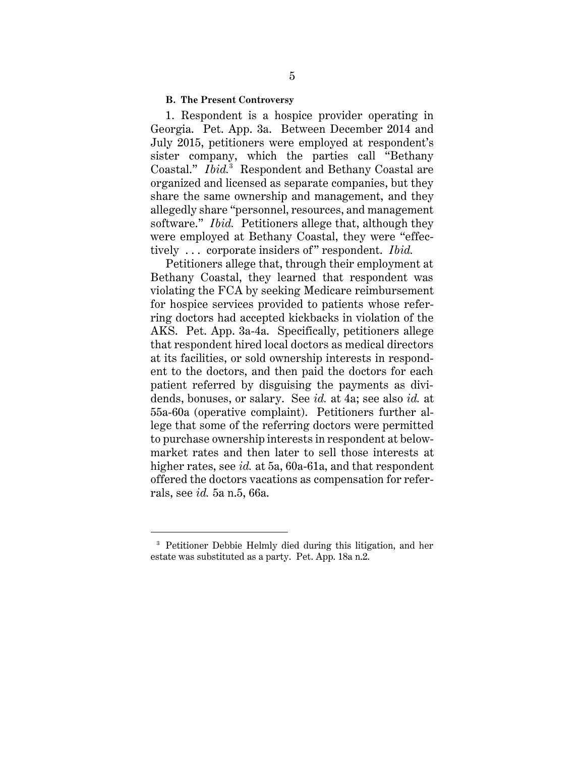#### <span id="page-10-0"></span>**B. The Present Controversy**

1. Respondent is a hospice provider operating in Georgia. Pet. App. 3a. Between December 2014 and July 2015, petitioners were employed at respondent's sister company, which the parties call "Bethany Coastal." *Ibid.*<sup>3</sup> Respondent and Bethany Coastal are organized and licensed as separate companies, but they share the same ownership and management, and they allegedly share "personnel, resources, and management software." *Ibid.* Petitioners allege that, although they were employed at Bethany Coastal, they were "effectively ... corporate insiders of" respondent. *Ibid.* 

Petitioners allege that, through their employment at Bethany Coastal, they learned that respondent was violating the FCA by seeking Medicare reimbursement for hospice services provided to patients whose referring doctors had accepted kickbacks in violation of the AKS. Pet. App. 3a-4a. Specifically, petitioners allege that respondent hired local doctors as medical directors at its facilities, or sold ownership interests in respondent to the doctors, and then paid the doctors for each patient referred by disguising the payments as dividends, bonuses, or salary. See *id.* at 4a; see also *id.* at 55a-60a (operative complaint). Petitioners further allege that some of the referring doctors were permitted to purchase ownership interests in respondent at belowmarket rates and then later to sell those interests at higher rates, see *id.* at 5a, 60a-61a, and that respondent offered the doctors vacations as compensation for referrals, see *id.* 5a n.5, 66a.

<sup>3</sup> Petitioner Debbie Helmly died during this litigation, and her estate was substituted as a party. Pet. App. 18a n.2.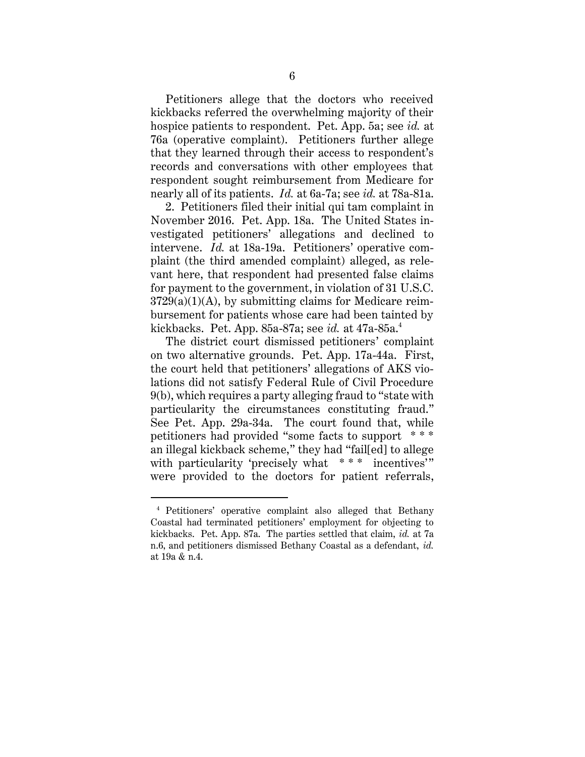Petitioners allege that the doctors who received kickbacks referred the overwhelming majority of their hospice patients to respondent. Pet. App. 5a; see *id.* at 76a (operative complaint). Petitioners further allege that they learned through their access to respondent's records and conversations with other employees that respondent sought reimbursement from Medicare for nearly all of its patients. *Id.* at 6a-7a; see *id.* at 78a-81a.

2. Petitioners filed their initial qui tam complaint in November 2016. Pet. App. 18a. The United States investigated petitioners' allegations and declined to intervene. *Id.* at 18a-19a. Petitioners' operative complaint (the third amended complaint) alleged, as relevant here, that respondent had presented false claims for payment to the government, in violation of 31 U.S.C.  $3729(a)(1)(A)$ , by submitting claims for Medicare reimbursement for patients whose care had been tainted by kickbacks. Pet. App. 85a-87a; see *id.* at 47a-85a.<sup>4</sup>

The district court dismissed petitioners' complaint on two alternative grounds. Pet. App. 17a-44a. First, the court held that petitioners' allegations of AKS violations did not satisfy Federal Rule of Civil Procedure 9(b), which requires a party alleging fraud to "state with particularity the circumstances constituting fraud." See Pet. App. 29a-34a. The court found that, while petitioners had provided "some facts to support \* \* \* an illegal kickback scheme," they had "fail[ed] to allege with particularity 'precisely what \*\*\* incentives'" were provided to the doctors for patient referrals,

<sup>4</sup> Petitioners' operative complaint also alleged that Bethany Coastal had terminated petitioners' employment for objecting to kickbacks. Pet. App. 87a. The parties settled that claim, *id.* at 7a n.6, and petitioners dismissed Bethany Coastal as a defendant, *id.*  at 19a & n.4.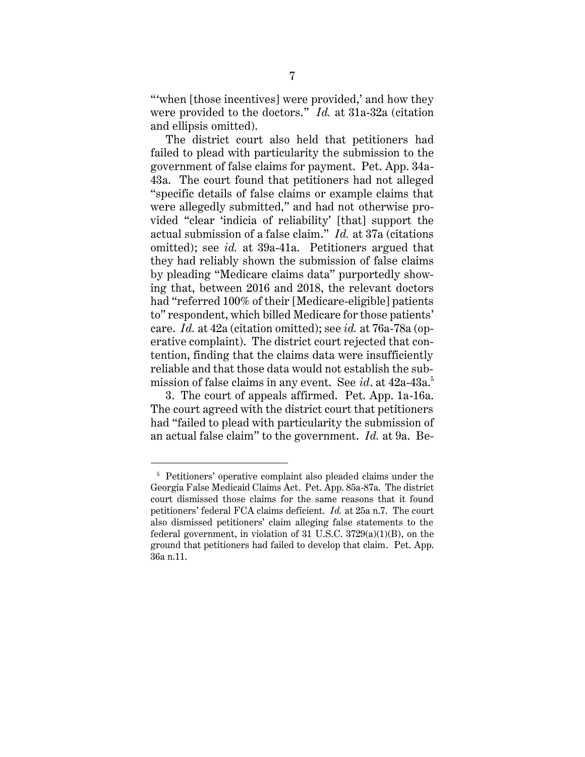"when [those incentives] were provided,' and how they were provided to the doctors." *Id.* at 31a-32a (citation and ellipsis omitted).

The district court also held that petitioners had failed to plead with particularity the submission to the government of false claims for payment. Pet. App. 34a-43a. The court found that petitioners had not alleged "specific details of false claims or example claims that were allegedly submitted," and had not otherwise provided "clear 'indicia of reliability' [that] support the actual submission of a false claim." *Id.* at 37a (citations omitted); see *id.* at 39a-41a. Petitioners argued that they had reliably shown the submission of false claims by pleading "Medicare claims data" purportedly showing that, between 2016 and 2018, the relevant doctors had "referred 100% of their [Medicare-eligible] patients to" respondent, which billed Medicare for those patients' care. *Id.* at 42a (citation omitted); see *id.* at 76a-78a (operative complaint). The district court rejected that contention, finding that the claims data were insufficiently reliable and that those data would not establish the submission of false claims in any event. See *id*. at 42a-43a. 5

3. The court of appeals affirmed. Pet. App. 1a-16a. The court agreed with the district court that petitioners had "failed to plead with particularity the submission of an actual false claim" to the government. *Id.* at 9a. Be-

<sup>5</sup> Petitioners' operative complaint also pleaded claims under the Georgia False Medicaid Claims Act. Pet. App. 85a-87a. The district court dismissed those claims for the same reasons that it found petitioners' federal FCA claims deficient. *Id.* at 25a n.7. The court also dismissed petitioners' claim alleging false statements to the federal government, in violation of 31 U.S.C.  $3729(a)(1)(B)$ , on the ground that petitioners had failed to develop that claim. Pet. App. 36a n.11.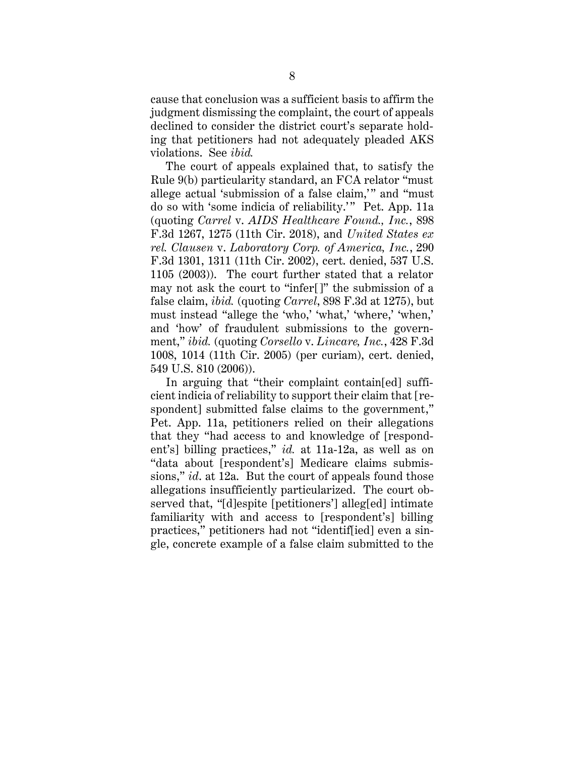cause that conclusion was a sufficient basis to affirm the judgment dismissing the complaint, the court of appeals declined to consider the district court's separate holding that petitioners had not adequately pleaded AKS violations. See *ibid.*

The court of appeals explained that, to satisfy the Rule 9(b) particularity standard, an FCA relator "must allege actual 'submission of a false claim,'" and "must do so with 'some indicia of reliability.'" Pet. App. 11a (quoting *Carrel* v. *AIDS Healthcare Found., Inc.*, 898 F.3d 1267, 1275 (11th Cir. 2018), and *United States ex rel. Clausen* v. *Laboratory Corp. of America, Inc.*, 290 F.3d 1301, 1311 (11th Cir. 2002), cert. denied, 537 U.S. 1105 (2003)). The court further stated that a relator may not ask the court to "infer[]" the submission of a false claim, *ibid.* (quoting *Carrel*, 898 F.3d at 1275), but must instead "allege the 'who,' 'what,' 'where,' 'when,' and 'how' of fraudulent submissions to the government," *ibid.* (quoting *Corsello* v. *Lincare, Inc.*, 428 F.3d 1008, 1014 (11th Cir. 2005) (per curiam), cert. denied, 549 U.S. 810 (2006)).

In arguing that "their complaint contain[ed] sufficient indicia of reliability to support their claim that [respondent] submitted false claims to the government," Pet. App. 11a, petitioners relied on their allegations that they "had access to and knowledge of [respondent's] billing practices," *id.* at 11a-12a, as well as on "data about [respondent's] Medicare claims submissions," *id*. at 12a. But the court of appeals found those allegations insufficiently particularized. The court observed that, "[d]espite [petitioners'] alleg[ed] intimate familiarity with and access to [respondent's] billing practices," petitioners had not "identif[ied] even a single, concrete example of a false claim submitted to the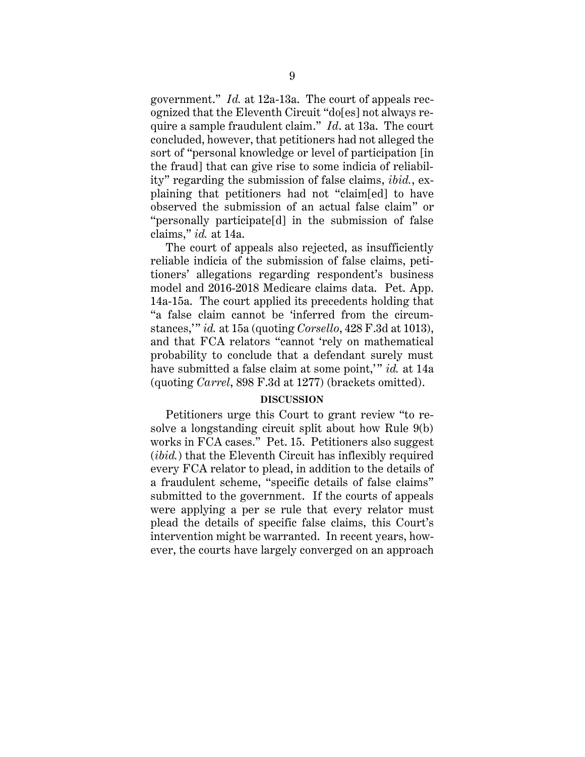government." *Id.* at 12a-13a. The court of appeals recognized that the Eleventh Circuit "do[es] not always require a sample fraudulent claim." *Id*. at 13a. The court concluded, however, that petitioners had not alleged the sort of "personal knowledge or level of participation [in the fraud] that can give rise to some indicia of reliability" regarding the submission of false claims, *ibid.*, explaining that petitioners had not "claim[ed] to have observed the submission of an actual false claim" or "personally participate[d] in the submission of false claims," *id.* at 14a.

The court of appeals also rejected, as insufficiently reliable indicia of the submission of false claims, petitioners' allegations regarding respondent's business model and 2016-2018 Medicare claims data. Pet. App. 14a-15a. The court applied its precedents holding that "a false claim cannot be 'inferred from the circumstances,'" *id.* at 15a (quoting *Corsello*, 428 F.3d at 1013), and that FCA relators "cannot 'rely on mathematical probability to conclude that a defendant surely must have submitted a false claim at some point," *id.* at 14a (quoting *Carrel*, 898 F.3d at 1277) (brackets omitted).

#### **DISCUSSION**

<span id="page-14-0"></span>Petitioners urge this Court to grant review "to resolve a longstanding circuit split about how Rule 9(b) works in FCA cases." Pet. 15. Petitioners also suggest (*ibid.*) that the Eleventh Circuit has inflexibly required every FCA relator to plead, in addition to the details of a fraudulent scheme, "specific details of false claims" submitted to the government. If the courts of appeals were applying a per se rule that every relator must plead the details of specific false claims, this Court's intervention might be warranted. In recent years, however, the courts have largely converged on an approach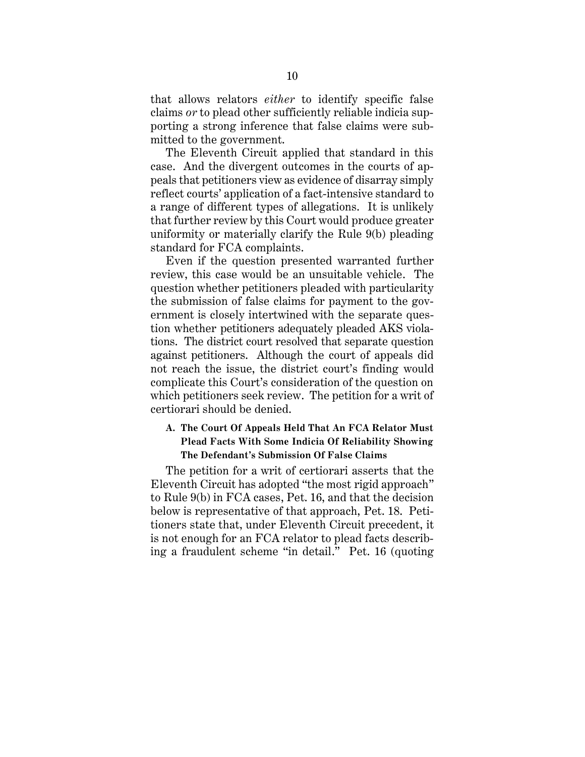that allows relators *either* to identify specific false claims *or* to plead other sufficiently reliable indicia supporting a strong inference that false claims were submitted to the government.

The Eleventh Circuit applied that standard in this case. And the divergent outcomes in the courts of appeals that petitioners view as evidence of disarray simply reflect courts' application of a fact-intensive standard to a range of different types of allegations. It is unlikely that further review by this Court would produce greater uniformity or materially clarify the Rule 9(b) pleading standard for FCA complaints.

Even if the question presented warranted further review, this case would be an unsuitable vehicle. The question whether petitioners pleaded with particularity the submission of false claims for payment to the government is closely intertwined with the separate question whether petitioners adequately pleaded AKS violations. The district court resolved that separate question against petitioners. Although the court of appeals did not reach the issue, the district court's finding would complicate this Court's consideration of the question on which petitioners seek review. The petition for a writ of certiorari should be denied.

## <span id="page-15-0"></span>**A. The Court Of Appeals Held That An FCA Relator Must Plead Facts With Some Indicia Of Reliability Showing The Defendant's Submission Of False Claims**

The petition for a writ of certiorari asserts that the Eleventh Circuit has adopted "the most rigid approach" to Rule 9(b) in FCA cases, Pet. 16, and that the decision below is representative of that approach, Pet. 18. Petitioners state that, under Eleventh Circuit precedent, it is not enough for an FCA relator to plead facts describing a fraudulent scheme "in detail." Pet. 16 (quoting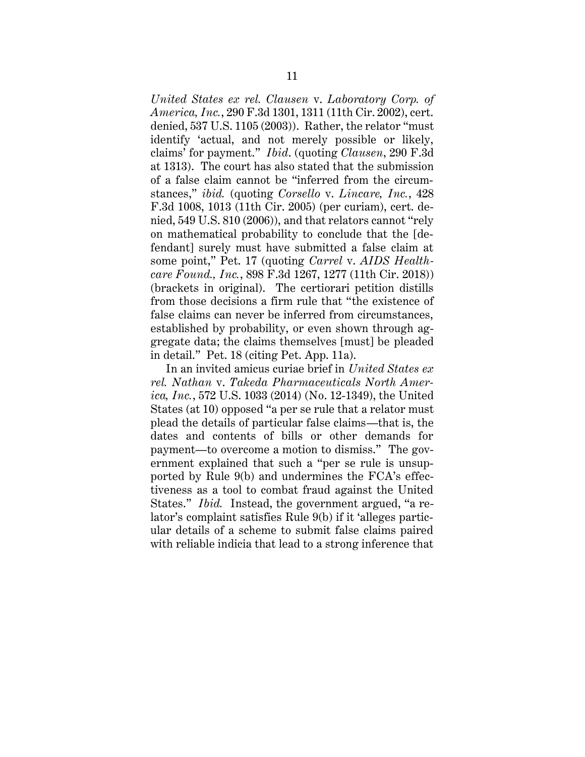*United States ex rel. Clausen* v. *Laboratory Corp. of America, Inc.*, 290 F.3d 1301, 1311 (11th Cir. 2002), cert. denied, 537 U.S. 1105 (2003)). Rather, the relator "must identify 'actual, and not merely possible or likely, claims' for payment." *Ibid*. (quoting *Clausen*, 290 F.3d at 1313). The court has also stated that the submission of a false claim cannot be "inferred from the circumstances," *ibid.* (quoting *Corsello* v. *Lincare, Inc.*, 428 F.3d 1008, 1013 (11th Cir. 2005) (per curiam), cert. denied, 549 U.S. 810 (2006)), and that relators cannot "rely on mathematical probability to conclude that the [defendant] surely must have submitted a false claim at some point," Pet. 17 (quoting *Carrel* v. *AIDS Healthcare Found., Inc.*, 898 F.3d 1267, 1277 (11th Cir. 2018)) (brackets in original). The certiorari petition distills from those decisions a firm rule that "the existence of false claims can never be inferred from circumstances, established by probability, or even shown through aggregate data; the claims themselves [must] be pleaded in detail." Pet. 18 (citing Pet. App. 11a).

In an invited amicus curiae brief in *United States ex rel. Nathan* v. *Takeda Pharmaceuticals North America, Inc.*, 572 U.S. 1033 (2014) (No. 12-1349), the United States (at 10) opposed "a per se rule that a relator must plead the details of particular false claims—that is, the dates and contents of bills or other demands for payment—to overcome a motion to dismiss." The government explained that such a "per se rule is unsupported by Rule 9(b) and undermines the FCA's effectiveness as a tool to combat fraud against the United States." *Ibid.* Instead, the government argued, "a relator's complaint satisfies Rule 9(b) if it 'alleges particular details of a scheme to submit false claims paired with reliable indicia that lead to a strong inference that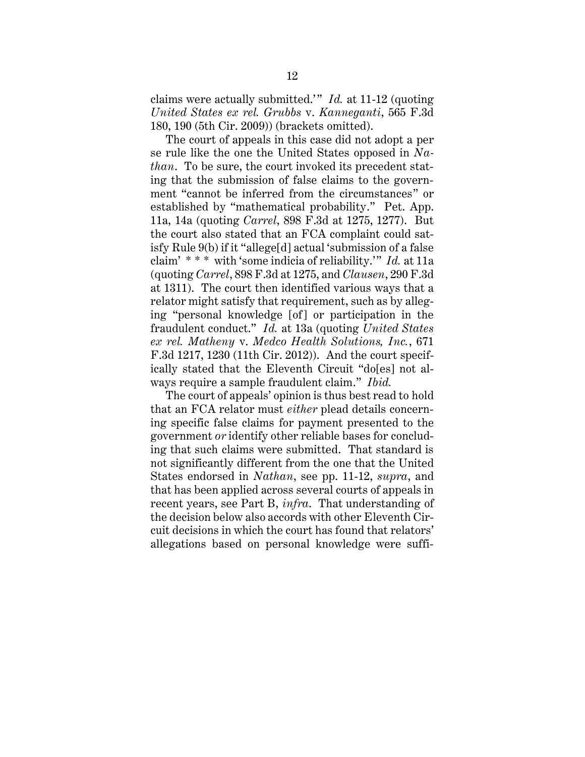claims were actually submitted.'" *Id.* at 11-12 (quoting *United States ex rel. Grubbs* v. *Kanneganti*, 565 F.3d 180, 190 (5th Cir. 2009)) (brackets omitted).

The court of appeals in this case did not adopt a per se rule like the one the United States opposed in *Nathan*. To be sure, the court invoked its precedent stating that the submission of false claims to the government "cannot be inferred from the circumstances" or established by "mathematical probability." Pet. App. 11a, 14a (quoting *Carrel*, 898 F.3d at 1275, 1277). But the court also stated that an FCA complaint could satisfy Rule 9(b) if it "allege[d] actual 'submission of a false claim' \* \* \* with 'some indicia of reliability.'" *Id.* at 11a (quoting *Carrel*, 898 F.3d at 1275, and *Clausen*, 290 F.3d at 1311). The court then identified various ways that a relator might satisfy that requirement, such as by alleging "personal knowledge [of] or participation in the fraudulent conduct." *Id.* at 13a (quoting *United States ex rel. Matheny* v. *Medco Health Solutions, Inc.*, 671 F.3d 1217, 1230 (11th Cir. 2012)). And the court specifically stated that the Eleventh Circuit "do[es] not always require a sample fraudulent claim." *Ibid.*

The court of appeals' opinion is thus best read to hold that an FCA relator must *either* plead details concerning specific false claims for payment presented to the government *or* identify other reliable bases for concluding that such claims were submitted. That standard is not significantly different from the one that the United States endorsed in *Nathan*, see pp. 11-12, *supra*, and that has been applied across several courts of appeals in recent years, see Part B, *infra*. That understanding of the decision below also accords with other Eleventh Circuit decisions in which the court has found that relators' allegations based on personal knowledge were suffi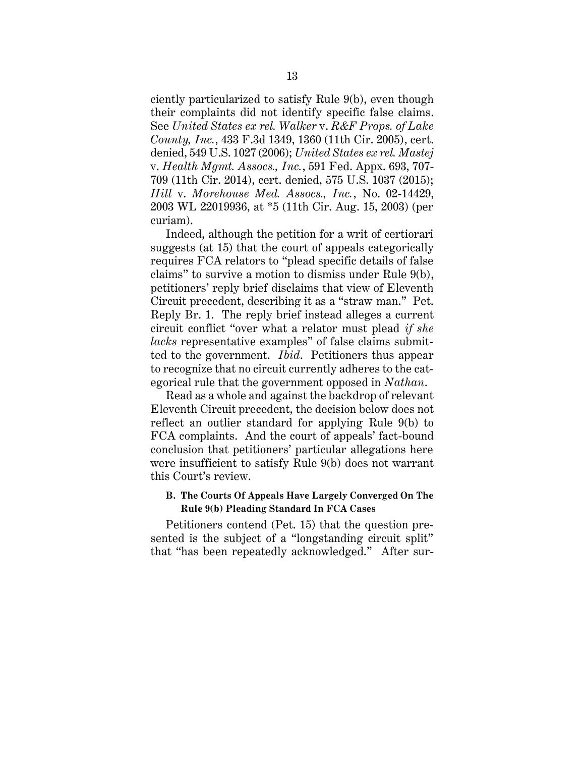ciently particularized to satisfy Rule 9(b), even though their complaints did not identify specific false claims. See *United States ex rel. Walker* v. *R&F Props. of Lake County, Inc.*, 433 F.3d 1349, 1360 (11th Cir. 2005), cert. denied, 549 U.S. 1027 (2006); *United States ex rel. Mastej* v. *Health Mgmt. Assocs., Inc.*, 591 Fed. Appx. 693, 707- 709 (11th Cir. 2014), cert. denied, 575 U.S. 1037 (2015); *Hill* v. *Morehouse Med. Assocs., Inc.*, No. 02-14429, 2003 WL 22019936, at \*5 (11th Cir. Aug. 15, 2003) (per curiam).

Indeed, although the petition for a writ of certiorari suggests (at 15) that the court of appeals categorically requires FCA relators to "plead specific details of false claims" to survive a motion to dismiss under Rule 9(b), petitioners' reply brief disclaims that view of Eleventh Circuit precedent, describing it as a "straw man." Pet. Reply Br. 1. The reply brief instead alleges a current circuit conflict "over what a relator must plead *if she lacks* representative examples" of false claims submitted to the government. *Ibid*. Petitioners thus appear to recognize that no circuit currently adheres to the categorical rule that the government opposed in *Nathan*.

Read as a whole and against the backdrop of relevant Eleventh Circuit precedent, the decision below does not reflect an outlier standard for applying Rule 9(b) to FCA complaints. And the court of appeals' fact-bound conclusion that petitioners' particular allegations here were insufficient to satisfy Rule 9(b) does not warrant this Court's review.

## <span id="page-18-0"></span>**B. The Courts Of Appeals Have Largely Converged On The Rule 9(b) Pleading Standard In FCA Cases**

Petitioners contend (Pet. 15) that the question presented is the subject of a "longstanding circuit split" that "has been repeatedly acknowledged." After sur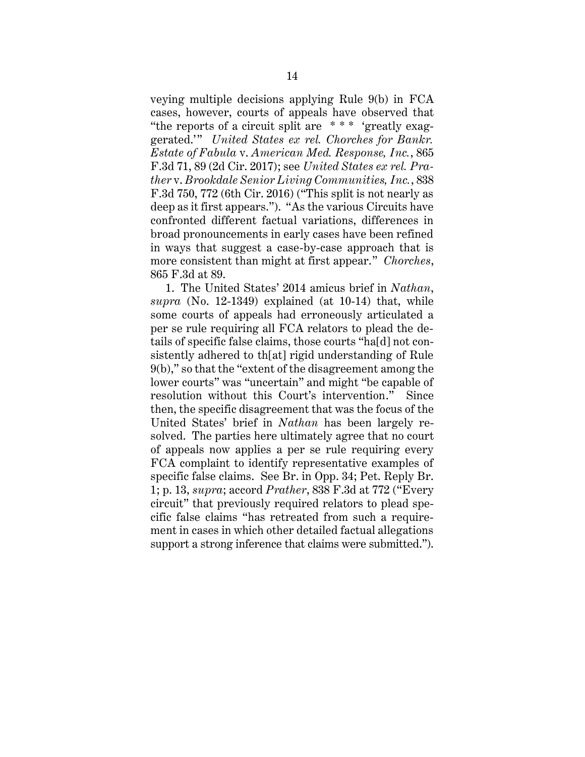veying multiple decisions applying Rule 9(b) in FCA cases, however, courts of appeals have observed that "the reports of a circuit split are \* \* \* 'greatly exaggerated.'" *United States ex rel. Chorches for Bankr. Estate of Fabula* v. *American Med. Response, Inc.*, 865 F.3d 71, 89 (2d Cir. 2017); see *United States ex rel. Prather* v. *Brookdale Senior Living Communities, Inc.*, 838 F.3d 750, 772 (6th Cir. 2016) ("This split is not nearly as deep as it first appears."). "As the various Circuits have confronted different factual variations, differences in broad pronouncements in early cases have been refined in ways that suggest a case-by-case approach that is more consistent than might at first appear." *Chorches*, 865 F.3d at 89.

1. The United States' 2014 amicus brief in *Nathan*, *supra* (No. 12-1349) explained (at 10-14) that, while some courts of appeals had erroneously articulated a per se rule requiring all FCA relators to plead the details of specific false claims, those courts "ha[d] not consistently adhered to th[at] rigid understanding of Rule 9(b)," so that the "extent of the disagreement among the lower courts" was "uncertain" and might "be capable of resolution without this Court's intervention." Since then, the specific disagreement that was the focus of the United States' brief in *Nathan* has been largely resolved. The parties here ultimately agree that no court of appeals now applies a per se rule requiring every FCA complaint to identify representative examples of specific false claims. See Br. in Opp. 34; Pet. Reply Br. 1; p. 13, *supra*; accord *Prather*, 838 F.3d at 772 ("Every circuit" that previously required relators to plead specific false claims "has retreated from such a requirement in cases in which other detailed factual allegations support a strong inference that claims were submitted.").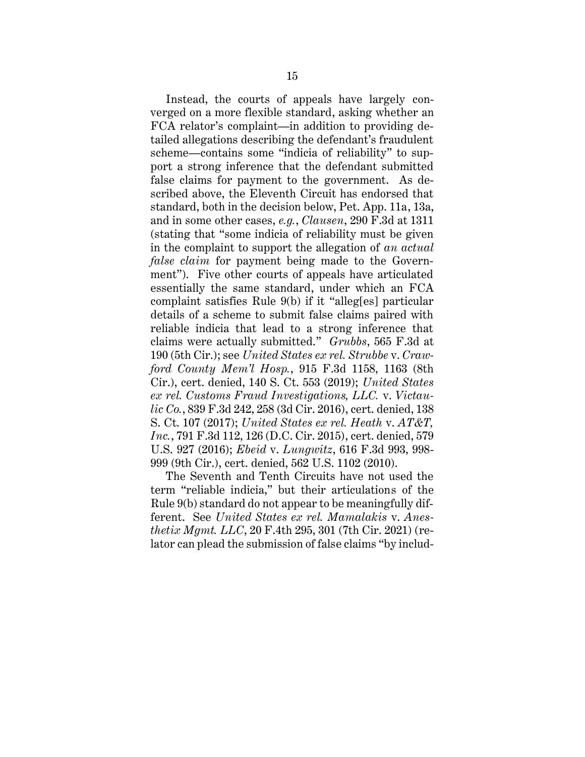Instead, the courts of appeals have largely converged on a more flexible standard, asking whether an FCA relator's complaint—in addition to providing detailed allegations describing the defendant's fraudulent scheme—contains some "indicia of reliability" to support a strong inference that the defendant submitted false claims for payment to the government. As described above, the Eleventh Circuit has endorsed that standard, both in the decision below, Pet. App. 11a, 13a, and in some other cases, *e.g.*, *Clausen*, 290 F.3d at 1311 (stating that "some indicia of reliability must be given in the complaint to support the allegation of *an actual false claim* for payment being made to the Government"). Five other courts of appeals have articulated essentially the same standard, under which an FCA complaint satisfies Rule 9(b) if it "alleg[es] particular details of a scheme to submit false claims paired with reliable indicia that lead to a strong inference that claims were actually submitted." *Grubbs*, 565 F.3d at 190 (5th Cir.); see *United States ex rel. Strubbe* v. *Crawford County Mem'l Hosp.*, 915 F.3d 1158, 1163 (8th Cir.), cert. denied, 140 S. Ct. 553 (2019); *United States ex rel. Customs Fraud Investigations, LLC.* v. *Victaulic Co.*, 839 F.3d 242, 258 (3d Cir. 2016), cert. denied, 138 S. Ct. 107 (2017); *United States ex rel. Heath* v. *AT&T, Inc.*, 791 F.3d 112, 126 (D.C. Cir. 2015), cert. denied, 579 U.S. 927 (2016); *Ebeid* v. *Lungwitz*, 616 F.3d 993, 998- 999 (9th Cir.), cert. denied, 562 U.S. 1102 (2010).

The Seventh and Tenth Circuits have not used the term "reliable indicia," but their articulations of the Rule 9(b) standard do not appear to be meaningfully different. See *United States ex rel. Mamalakis* v. *Anesthetix Mgmt. LLC*, 20 F.4th 295, 301 (7th Cir. 2021) (relator can plead the submission of false claims "by includ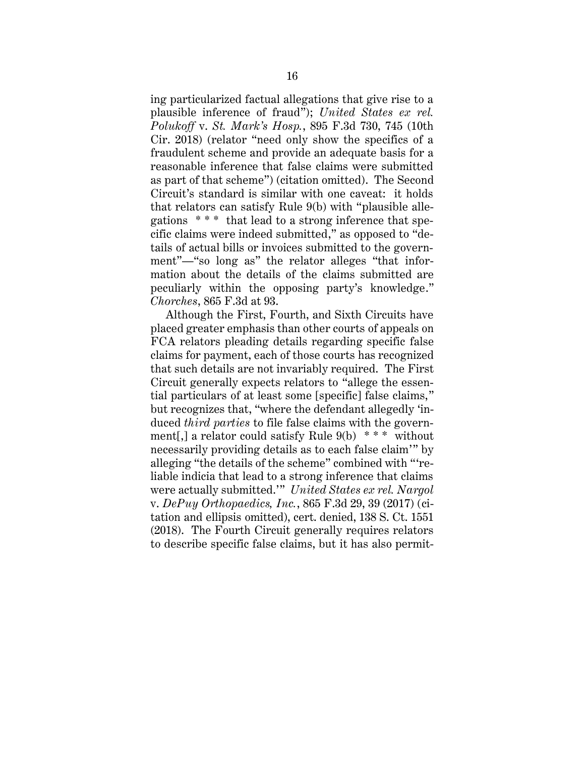ing particularized factual allegations that give rise to a plausible inference of fraud"); *United States ex rel. Polukoff* v. *St. Mark's Hosp.*, 895 F.3d 730, 745 (10th Cir. 2018) (relator "need only show the specifics of a fraudulent scheme and provide an adequate basis for a reasonable inference that false claims were submitted as part of that scheme") (citation omitted). The Second Circuit's standard is similar with one caveat: it holds that relators can satisfy Rule 9(b) with "plausible allegations \* \* \* that lead to a strong inference that specific claims were indeed submitted," as opposed to "details of actual bills or invoices submitted to the government"—"so long as" the relator alleges "that information about the details of the claims submitted are peculiarly within the opposing party's knowledge." *Chorches*, 865 F.3d at 93.

Although the First, Fourth, and Sixth Circuits have placed greater emphasis than other courts of appeals on FCA relators pleading details regarding specific false claims for payment, each of those courts has recognized that such details are not invariably required. The First Circuit generally expects relators to "allege the essential particulars of at least some [specific] false claims," but recognizes that, "where the defendant allegedly 'induced *third parties* to file false claims with the government[,] a relator could satisfy Rule  $9(b)$  \*\*\* without necessarily providing details as to each false claim'" by alleging "the details of the scheme" combined with "'reliable indicia that lead to a strong inference that claims were actually submitted.'" *United States ex rel. Nargol* v. *DePuy Orthopaedics, Inc.*, 865 F.3d 29, 39 (2017) (citation and ellipsis omitted), cert. denied, 138 S. Ct. 1551 (2018). The Fourth Circuit generally requires relators to describe specific false claims, but it has also permit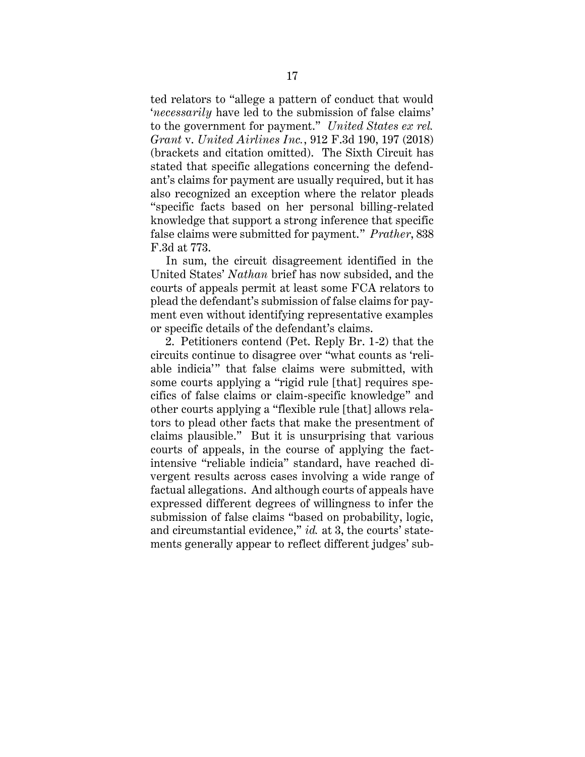ted relators to "allege a pattern of conduct that would '*necessarily* have led to the submission of false claims' to the government for payment." *United States ex rel. Grant* v. *United Airlines Inc.*, 912 F.3d 190, 197 (2018) (brackets and citation omitted). The Sixth Circuit has stated that specific allegations concerning the defendant's claims for payment are usually required, but it has also recognized an exception where the relator pleads "specific facts based on her personal billing-related knowledge that support a strong inference that specific false claims were submitted for payment." *Prather*, 838 F.3d at 773.

In sum, the circuit disagreement identified in the United States' *Nathan* brief has now subsided, and the courts of appeals permit at least some FCA relators to plead the defendant's submission of false claims for payment even without identifying representative examples or specific details of the defendant's claims.

2. Petitioners contend (Pet. Reply Br. 1-2) that the circuits continue to disagree over "what counts as 'reliable indicia'" that false claims were submitted, with some courts applying a "rigid rule [that] requires specifics of false claims or claim-specific knowledge" and other courts applying a "flexible rule [that] allows relators to plead other facts that make the presentment of claims plausible." But it is unsurprising that various courts of appeals, in the course of applying the factintensive "reliable indicia" standard, have reached divergent results across cases involving a wide range of factual allegations. And although courts of appeals have expressed different degrees of willingness to infer the submission of false claims "based on probability, logic, and circumstantial evidence," *id.* at 3, the courts' statements generally appear to reflect different judges' sub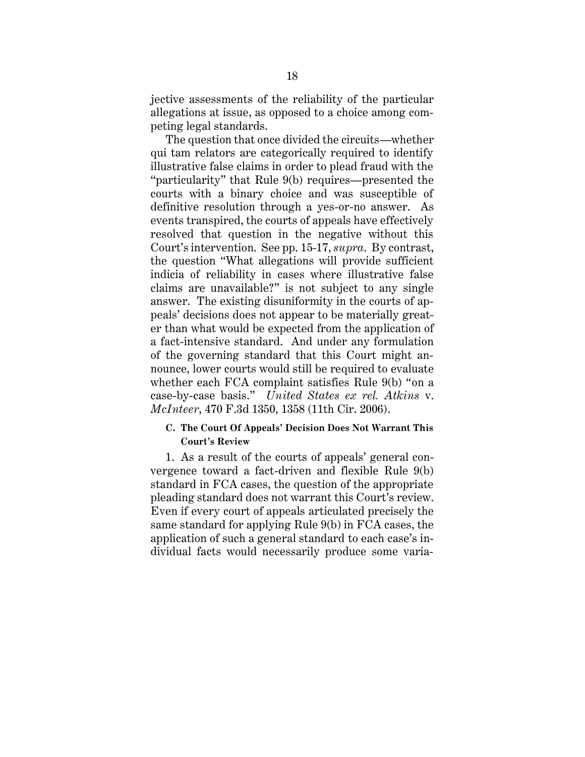jective assessments of the reliability of the particular allegations at issue, as opposed to a choice among competing legal standards.

The question that once divided the circuits—whether qui tam relators are categorically required to identify illustrative false claims in order to plead fraud with the "particularity" that Rule 9(b) requires—presented the courts with a binary choice and was susceptible of definitive resolution through a yes-or-no answer. As events transpired, the courts of appeals have effectively resolved that question in the negative without this Court's intervention. See pp. 15-17, *supra*. By contrast, the question "What allegations will provide sufficient indicia of reliability in cases where illustrative false claims are unavailable?" is not subject to any single answer. The existing disuniformity in the courts of appeals' decisions does not appear to be materially greater than what would be expected from the application of a fact-intensive standard. And under any formulation of the governing standard that this Court might announce, lower courts would still be required to evaluate whether each FCA complaint satisfies Rule 9(b) "on a case-by-case basis." *United States ex rel. Atkins* v. *McInteer*, 470 F.3d 1350, 1358 (11th Cir. 2006).

#### <span id="page-23-0"></span>**C. The Court Of Appeals' Decision Does Not Warrant This Court's Review**

1. As a result of the courts of appeals' general convergence toward a fact-driven and flexible Rule 9(b) standard in FCA cases, the question of the appropriate pleading standard does not warrant this Court's review. Even if every court of appeals articulated precisely the same standard for applying Rule 9(b) in FCA cases, the application of such a general standard to each case's individual facts would necessarily produce some varia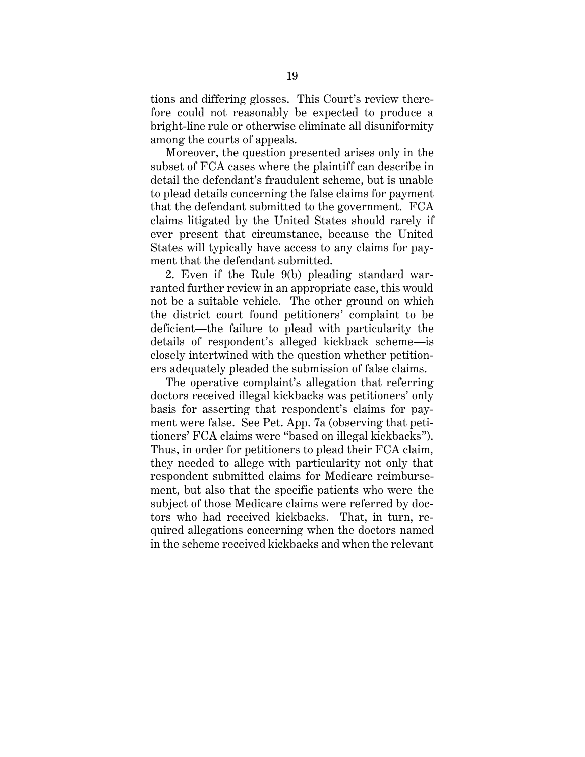tions and differing glosses. This Court's review therefore could not reasonably be expected to produce a bright-line rule or otherwise eliminate all disuniformity among the courts of appeals.

Moreover, the question presented arises only in the subset of FCA cases where the plaintiff can describe in detail the defendant's fraudulent scheme, but is unable to plead details concerning the false claims for payment that the defendant submitted to the government. FCA claims litigated by the United States should rarely if ever present that circumstance, because the United States will typically have access to any claims for payment that the defendant submitted.

2. Even if the Rule 9(b) pleading standard warranted further review in an appropriate case, this would not be a suitable vehicle. The other ground on which the district court found petitioners' complaint to be deficient—the failure to plead with particularity the details of respondent's alleged kickback scheme—is closely intertwined with the question whether petitioners adequately pleaded the submission of false claims.

The operative complaint's allegation that referring doctors received illegal kickbacks was petitioners' only basis for asserting that respondent's claims for payment were false. See Pet. App. 7a (observing that petitioners' FCA claims were "based on illegal kickbacks"). Thus, in order for petitioners to plead their FCA claim, they needed to allege with particularity not only that respondent submitted claims for Medicare reimbursement, but also that the specific patients who were the subject of those Medicare claims were referred by doctors who had received kickbacks. That, in turn, required allegations concerning when the doctors named in the scheme received kickbacks and when the relevant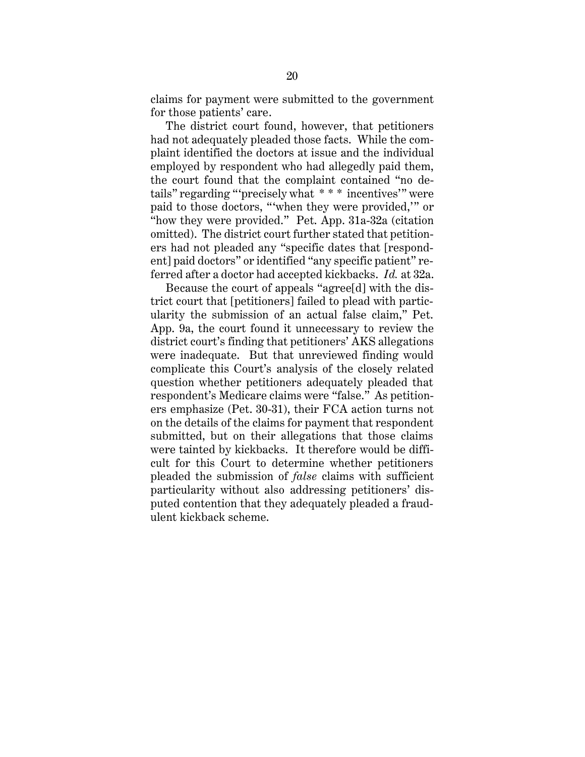claims for payment were submitted to the government for those patients' care.

The district court found, however, that petitioners had not adequately pleaded those facts. While the complaint identified the doctors at issue and the individual employed by respondent who had allegedly paid them, the court found that the complaint contained "no details" regarding "'precisely what \* \* \* incentives'" were paid to those doctors, "'when they were provided,'" or "how they were provided." Pet. App. 31a-32a (citation omitted). The district court further stated that petitioners had not pleaded any "specific dates that [respondent] paid doctors" or identified "any specific patient" referred after a doctor had accepted kickbacks. *Id.* at 32a.

Because the court of appeals "agree[d] with the district court that [petitioners] failed to plead with particularity the submission of an actual false claim," Pet. App. 9a, the court found it unnecessary to review the district court's finding that petitioners' AKS allegations were inadequate. But that unreviewed finding would complicate this Court's analysis of the closely related question whether petitioners adequately pleaded that respondent's Medicare claims were "false." As petitioners emphasize (Pet. 30-31), their FCA action turns not on the details of the claims for payment that respondent submitted, but on their allegations that those claims were tainted by kickbacks. It therefore would be difficult for this Court to determine whether petitioners pleaded the submission of *false* claims with sufficient particularity without also addressing petitioners' disputed contention that they adequately pleaded a fraudulent kickback scheme.